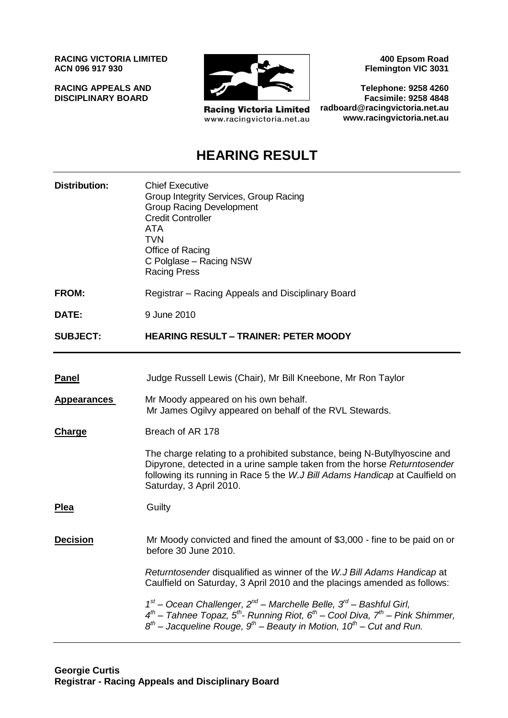**RACING VICTORIA LIMITED ACN 096 917 930**

**RACING APPEALS AND DISCIPLINARY BOARD**



**Racing Victoria Limited** www.racingvictoria.net.au

**400 Epsom Road Flemington VIC 3031**

**Telephone: 9258 4260 Facsimile: 9258 4848 radboard@racingvictoria.net.au www.racingvictoria.net.au**

# **HEARING RESULT**

| <b>Distribution:</b> | <b>Chief Executive</b><br>Group Integrity Services, Group Racing<br><b>Group Racing Development</b><br><b>Credit Controller</b><br>ATA<br><b>TVN</b><br>Office of Racing<br>C Polglase - Racing NSW<br><b>Racing Press</b>                                                |
|----------------------|---------------------------------------------------------------------------------------------------------------------------------------------------------------------------------------------------------------------------------------------------------------------------|
| <b>FROM:</b>         | Registrar – Racing Appeals and Disciplinary Board                                                                                                                                                                                                                         |
| DATE:                | 9 June 2010                                                                                                                                                                                                                                                               |
| <b>SUBJECT:</b>      | <b>HEARING RESULT - TRAINER: PETER MOODY</b>                                                                                                                                                                                                                              |
|                      |                                                                                                                                                                                                                                                                           |
| <b>Panel</b>         | Judge Russell Lewis (Chair), Mr Bill Kneebone, Mr Ron Taylor                                                                                                                                                                                                              |
| <b>Appearances</b>   | Mr Moody appeared on his own behalf.<br>Mr James Ogilvy appeared on behalf of the RVL Stewards.                                                                                                                                                                           |
| Charge               | Breach of AR 178                                                                                                                                                                                                                                                          |
|                      | The charge relating to a prohibited substance, being N-Butylhyoscine and<br>Dipyrone, detected in a urine sample taken from the horse Returntosender<br>following its running in Race 5 the W.J Bill Adams Handicap at Caulfield on<br>Saturday, 3 April 2010.            |
| <b>Plea</b>          | Guilty                                                                                                                                                                                                                                                                    |
| <b>Decision</b>      | Mr Moody convicted and fined the amount of \$3,000 - fine to be paid on or<br>before 30 June 2010.                                                                                                                                                                        |
|                      | Returntosender disqualified as winner of the W.J Bill Adams Handicap at<br>Caulfield on Saturday, 3 April 2010 and the placings amended as follows:                                                                                                                       |
|                      | $1st$ – Ocean Challenger, $2nd$ – Marchelle Belle, $3rd$ – Bashful Girl,<br>$4^{th}$ – Tahnee Topaz, $5^{th}$ - Running Riot, $6^{th}$ – Cool Diva, $7^{th}$ – Pink Shimmer,<br>$8^{th}$ – Jacqueline Rouge, $9^{th}$ – Beauty in Motion, 10 <sup>th</sup> – Cut and Run. |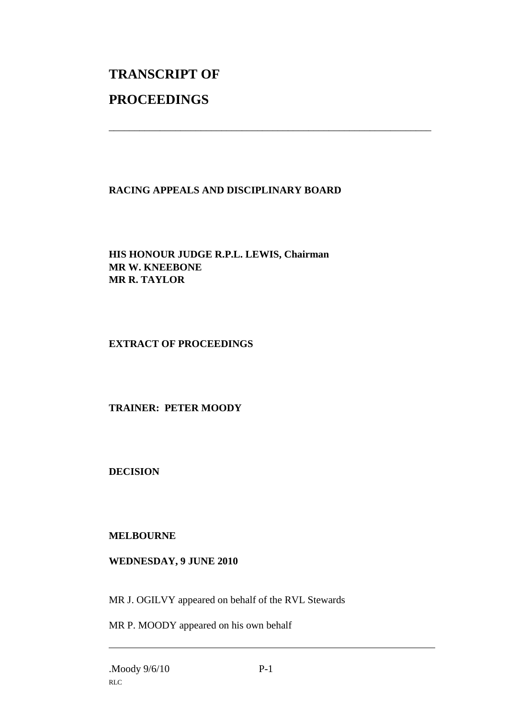# **TRANSCRIPT OF PROCEEDINGS**

### **RACING APPEALS AND DISCIPLINARY BOARD**

\_\_\_\_\_\_\_\_\_\_\_\_\_\_\_\_\_\_\_\_\_\_\_\_\_\_\_\_\_\_\_\_\_\_\_\_\_\_\_\_\_\_\_\_\_\_\_\_\_\_\_\_\_\_\_\_\_\_\_\_\_\_\_

**HIS HONOUR JUDGE R.P.L. LEWIS, Chairman MR W. KNEEBONE MR R. TAYLOR**

#### **EXTRACT OF PROCEEDINGS**

### **TRAINER: PETER MOODY**

**DECISION**

#### **MELBOURNE**

#### **WEDNESDAY, 9 JUNE 2010**

MR J. OGILVY appeared on behalf of the RVL Stewards

MR P. MOODY appeared on his own behalf